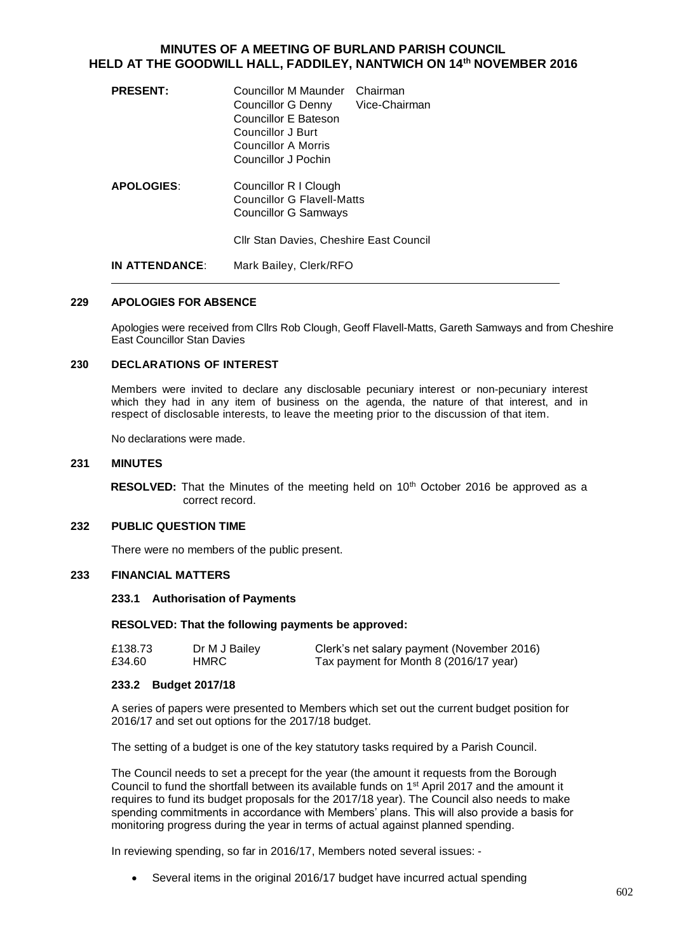# **MINUTES OF A MEETING OF BURLAND PARISH COUNCIL HELD AT THE GOODWILL HALL, FADDILEY, NANTWICH ON 14th NOVEMBER 2016**

| <b>PRESENT:</b>                         | Councillor M Maunder<br>Councillor G Denny<br>Councillor E Bateson<br>Councillor J Burt<br>Councillor A Morris<br>Councillor J Pochin | Chairman<br>Vice-Chairman |
|-----------------------------------------|---------------------------------------------------------------------------------------------------------------------------------------|---------------------------|
| <b>APOLOGIES:</b>                       | Councillor R I Clough<br>Councillor G Flavell-Matts<br><b>Councillor G Samways</b>                                                    |                           |
| Cllr Stan Davies, Cheshire East Council |                                                                                                                                       |                           |
| IN ATTENDANCE:                          | Mark Bailey, Clerk/RFO                                                                                                                |                           |

#### 229 APOLOGIES FOR ABSENCE

Apologies were received from Cllrs Rob Clough, Geoff Flavell-Matts, Gareth Samways and from Cheshire East Councillor Stan Davies

## 230 **DECLARATIONS OF INTEREST**

Members were invited to declare any disclosable pecuniary interest or non-pecuniary interest which they had in any item of business on the agenda, the nature of that interest, and in respect of disclosable interests, to leave the meeting prior to the discussion of that item.

No declarations were made.

### **231 MINUTES**

**RESOLVED:** That the Minutes of the meeting held on 10<sup>th</sup> October 2016 be approved as a correct record.

### **232 PUBLIC QUESTION TIME**

There were no members of the public present.

### **233 FINANCIAL MATTERS**

#### **233.1 Authorisation of Payments**

#### **RESOLVED: That the following payments be approved:**

| £138.73 | Dr M J Bailey | Clerk's net salary payment (November 2016) |
|---------|---------------|--------------------------------------------|
| £34.60  | HMRC          | Tax payment for Month 8 (2016/17 year)     |

#### **233.2 Budget 2017/18**

A series of papers were presented to Members which set out the current budget position for 2016/17 and set out options for the 2017/18 budget.

The setting of a budget is one of the key statutory tasks required by a Parish Council.

The Council needs to set a precept for the year (the amount it requests from the Borough Council to fund the shortfall between its available funds on 1<sup>st</sup> April 2017 and the amount it requires to fund its budget proposals for the 2017/18 year). The Council also needs to make spending commitments in accordance with Members' plans. This will also provide a basis for monitoring progress during the year in terms of actual against planned spending.

In reviewing spending, so far in 2016/17, Members noted several issues: -

Several items in the original 2016/17 budget have incurred actual spending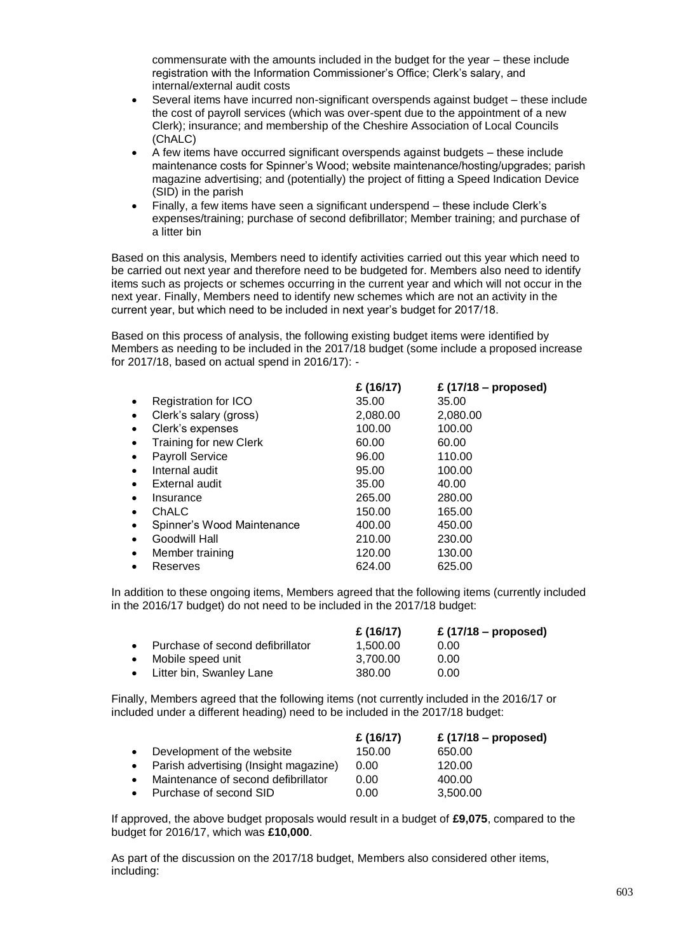commensurate with the amounts included in the budget for the year – these include registration with the Information Commissioner's Office; Clerk's salary, and internal/external audit costs

- Several items have incurred non-significant overspends against budget these include the cost of payroll services (which was over-spent due to the appointment of a new Clerk); insurance; and membership of the Cheshire Association of Local Councils (ChALC)
- A few items have occurred significant overspends against budgets these include maintenance costs for Spinner's Wood; website maintenance/hosting/upgrades; parish magazine advertising; and (potentially) the project of fitting a Speed Indication Device (SID) in the parish
- Finally, a few items have seen a significant underspend these include Clerk's expenses/training; purchase of second defibrillator; Member training; and purchase of a litter bin

Based on this analysis, Members need to identify activities carried out this year which need to be carried out next year and therefore need to be budgeted for. Members also need to identify items such as projects or schemes occurring in the current year and which will not occur in the next year. Finally, Members need to identify new schemes which are not an activity in the current year, but which need to be included in next year's budget for 2017/18.

Based on this process of analysis, the following existing budget items were identified by Members as needing to be included in the 2017/18 budget (some include a proposed increase for 2017/18, based on actual spend in 2016/17): -

|           |                            | £ $(16/17)$ | £ (17/18 – proposed) |
|-----------|----------------------------|-------------|----------------------|
| ٠         | Registration for ICO       | 35.00       | 35.00                |
| $\bullet$ | Clerk's salary (gross)     | 2,080.00    | 2,080.00             |
| $\bullet$ | Clerk's expenses           | 100.00      | 100.00               |
|           | Training for new Clerk     | 60.00       | 60.00                |
|           | <b>Payroll Service</b>     | 96.00       | 110.00               |
| $\bullet$ | Internal audit             | 95.00       | 100.00               |
| $\bullet$ | External audit             | 35.00       | 40.00                |
| ٠         | Insurance                  | 265.00      | 280.00               |
| $\bullet$ | ChALC                      | 150.00      | 165.00               |
| $\bullet$ | Spinner's Wood Maintenance | 400.00      | 450.00               |
| $\bullet$ | Goodwill Hall              | 210.00      | 230.00               |
| $\bullet$ | Member training            | 120.00      | 130.00               |
|           | Reserves                   | 624.00      | 625.00               |
|           |                            |             |                      |

In addition to these ongoing items, Members agreed that the following items (currently included in the 2016/17 budget) do not need to be included in the 2017/18 budget:

|                                    | £ $(16/17)$ | £ $(17/18 -$ proposed) |
|------------------------------------|-------------|------------------------|
| • Purchase of second defibrillator | 1.500.00    | 0.00                   |
| • Mobile speed unit                | 3.700.00    | 0.00                   |
| • Litter bin, Swanley Lane         | 380.00      | 0.00                   |

Finally, Members agreed that the following items (not currently included in the 2016/17 or included under a different heading) need to be included in the 2017/18 budget:

|           |                                         | £ $(16/17)$ | £ $(17/18 -$ proposed) |
|-----------|-----------------------------------------|-------------|------------------------|
|           | • Development of the website            | 150.00      | 650.00                 |
|           | • Parish advertising (Insight magazine) | 0.00        | 120.00                 |
| $\bullet$ | Maintenance of second defibrillator     | 0.00        | 400.00                 |
|           | • Purchase of second SID                | 0.00        | 3.500.00               |

If approved, the above budget proposals would result in a budget of **£9,075**, compared to the budget for 2016/17, which was **£10,000**.

As part of the discussion on the 2017/18 budget, Members also considered other items, including: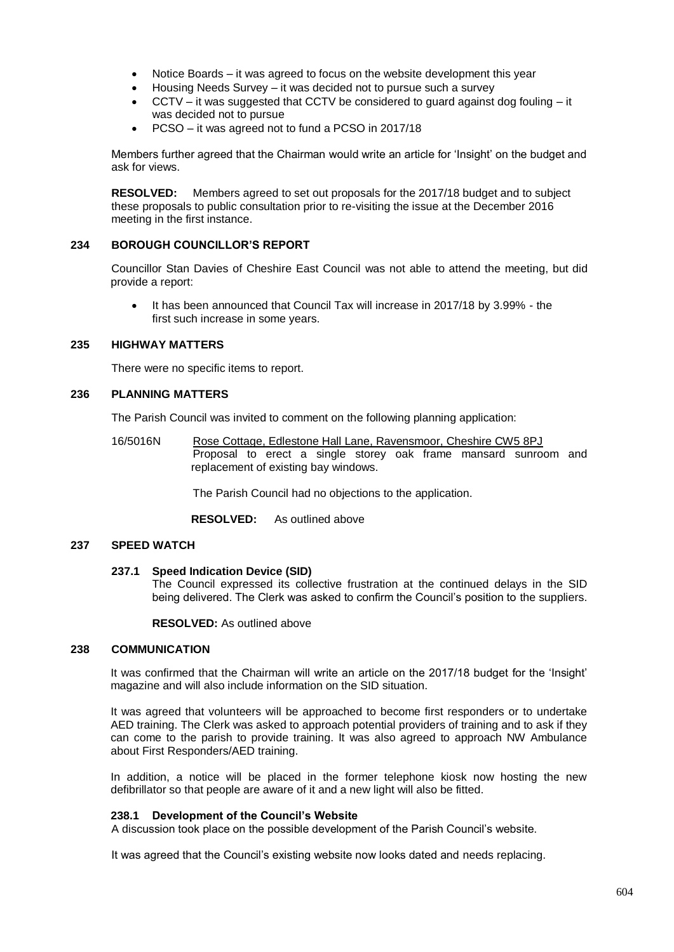- Notice Boards it was agreed to focus on the website development this year
- Housing Needs Survey it was decided not to pursue such a survey
- $CCTV it$  was suggested that CCTV be considered to guard against dog fouling  $-it$ was decided not to pursue
- PCSO it was agreed not to fund a PCSO in 2017/18

Members further agreed that the Chairman would write an article for 'Insight' on the budget and ask for views.

**RESOLVED:** Members agreed to set out proposals for the 2017/18 budget and to subject these proposals to public consultation prior to re-visiting the issue at the December 2016 meeting in the first instance.

# **234 BOROUGH COUNCILLOR'S REPORT**

Councillor Stan Davies of Cheshire East Council was not able to attend the meeting, but did provide a report:

 It has been announced that Council Tax will increase in 2017/18 by 3.99% - the first such increase in some years.

# **235 HIGHWAY MATTERS**

There were no specific items to report.

# **236 PLANNING MATTERS**

The Parish Council was invited to comment on the following planning application:

16/5016N Rose Cottage, Edlestone Hall Lane, Ravensmoor, Cheshire CW5 8PJ Proposal to erect a single storey oak frame mansard sunroom and replacement of existing bay windows.

The Parish Council had no objections to the application.

**RESOLVED:** As outlined above

# **237 SPEED WATCH**

### **237.1 Speed Indication Device (SID)**

The Council expressed its collective frustration at the continued delays in the SID being delivered. The Clerk was asked to confirm the Council's position to the suppliers.

**RESOLVED:** As outlined above

# **238 COMMUNICATION**

It was confirmed that the Chairman will write an article on the 2017/18 budget for the 'Insight' magazine and will also include information on the SID situation.

It was agreed that volunteers will be approached to become first responders or to undertake AED training. The Clerk was asked to approach potential providers of training and to ask if they can come to the parish to provide training. It was also agreed to approach NW Ambulance about First Responders/AED training.

In addition, a notice will be placed in the former telephone kiosk now hosting the new defibrillator so that people are aware of it and a new light will also be fitted.

#### **238.1 Development of the Council's Website**

A discussion took place on the possible development of the Parish Council's website.

It was agreed that the Council's existing website now looks dated and needs replacing.